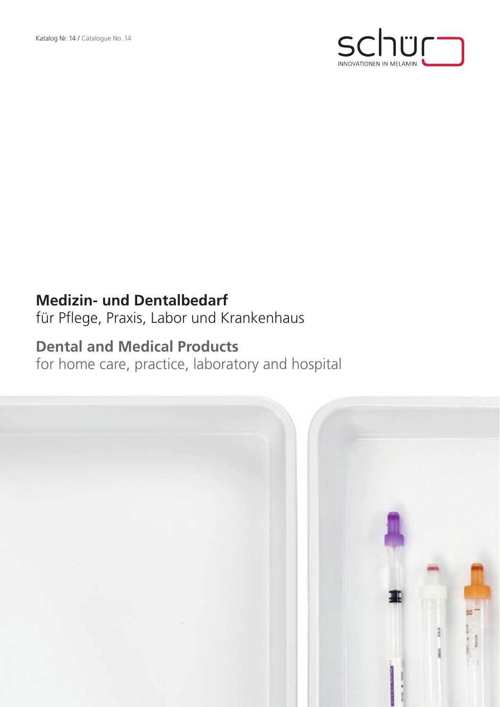

## **Medizin- und Dentalbedarf**

für Pflege, Praxis, Labor und Krankenhaus

## **Dental and Medical Products**

for home care, practice, laboratory and hospital

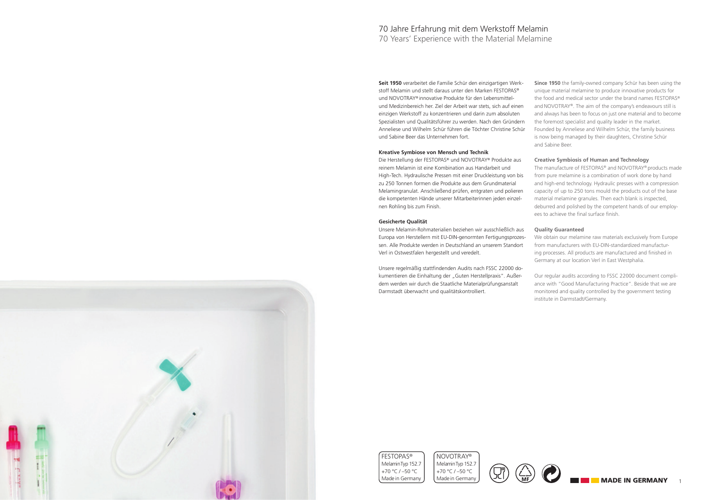**Seit 1950** verarbeitet die Familie Schür den einzigartigen Werkstoff Melamin und stellt daraus unter den Marken FESTOPAS® und NOVOTRAY® innovative Produkte für den Lebensmittelund Medizinbereich her. Ziel der Arbeit war stets, sich auf einen einzigen Werkstoff zu konzentrieren und darin zum absoluten Spezialisten und Qualitätsführer zu werden. Nach den Gründern Anneliese und Wilhelm Schür führen die Töchter Christine Schür und Sabine Beer das Unternehmen fort.

## **Kreative Symbiose von Mensch und Technik**

Die Herstellung der FESTOPAS® und NOVOTRAY® Produkte aus reinem Melamin ist eine Kombination aus Handarbeit und High-Tech. Hydraulische Pressen mit einer Druckleistung von bis zu 250 Tonnen formen die Produkte aus dem Grundmaterial Melamingranulat. Anschließend prüfen, entgraten und polieren die kompetenten Hände unserer Mitarbeiterinnen jeden einzelnen Rohling bis zum Finish.

## **Gesicherte Qualität**

Unsere Melamin-Rohmaterialien beziehen wir ausschließlich aus Europa von Herstellern mit EU-DIN-genormten Fertigungsprozessen. Alle Produkte werden in Deutschland an unserem Standort Verl in Ostwestfalen hergestellt und veredelt.

Unsere regelmäßig stattfindenden Audits nach FSSC 22000 dokumentieren die Einhaltung der "Guten Herstellpraxis". Außerdem werden wir durch die Staatliche Materialprüfungsanstalt Darmstadt überwacht und qualitätskontrolliert.

## 70 Jahre Erfahrung mit dem Werkstoff Melamin 70 Years' Experience with the Material Melamine



**Since 1950** the family-owned company Schür has been using the unique material melamine to produce innovative products for the food and medical sector under the brand names FESTOPAS® and NOVOTRAY®. The aim of the company's endeavours still is and always has been to focus on just one material and to become the foremost specialist and quality leader in the market. Founded by Anneliese and Wilhelm Schür, the family business is now being managed by their daughters, Christine Schür and Sabine Beer.

## **Creative Symbiosis of Human and Technology**

The manufacture of FESTOPAS® and NOVOTRAY® products made from pure melamine is a combination of work done by hand and high-end technology. Hydraulic presses with a compression capacity of up to 250 tons mould the products out of the base material melamine granules. Then each blank is inspected, deburred and polished by the competent hands of our employees to achieve the final surface finish.

## **Quality Guaranteed**

We obtain our melamine raw materials exclusively from Europe from manufacturers with EU-DIN-standardized manufacturing processes. All products are manufactured and finished in Germany at our location Verl in East Westphalia.

Our regular audits according to FSSC 22000 document compliance with "Good Manufacturing Practice". Beside that we are monitored and quality controlled by the government testing institute in Darmstadt/Germany.







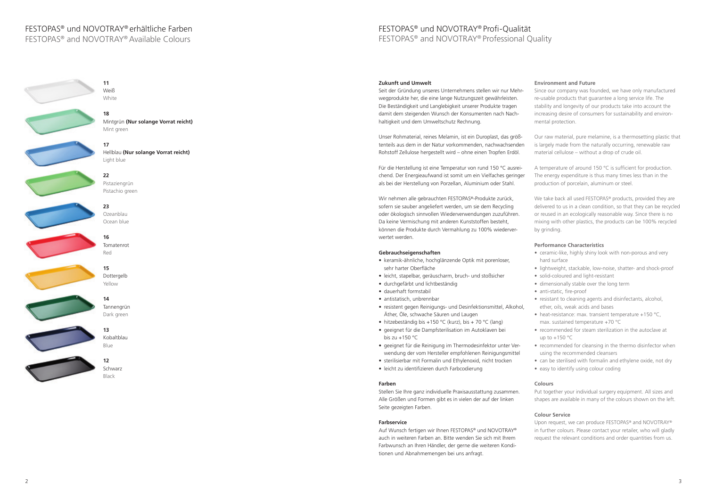## FESTOPAS® und NOVOTRAY® Profi-Qualität FESTOPAS® and NOVOTRAY® Professional Quality

## **Environment and Future**

Since our company was founded, we have only manufactured re-usable products that guarantee a long service life. The stability and longevity of our products take into account the increasing desire of consumers for sustainability and environmental protection.

Our raw material, pure melamine, is a thermosetting plastic that is largely made from the naturally occurring, renewable raw material cellulose – without a drop of crude oil.

We take back all used FESTOPAS<sup>®</sup> products, provided they are delivered to us in a clean condition, so that they can be recycled or reused in an ecologically reasonable way. Since there is no mixing with other plastics, the products can be 100% recycled by grinding.

- ceramic-like, highly shiny look with non-porous and very hard surface
- lightweight, stackable, low-noise, shatter- and shock-proof
- solid-coloured and light-resistant
- dimensionally stable over the long term
- anti-static, fire-proof
- resistant to cleaning agents and disinfectants, alcohol, ether, oils, weak acids and bases
- heat-resistance: max. transient temperature +150 °C, max. sustained temperature +70 °C
- recommended for steam sterilization in the autoclave at up to  $+150$  °C
- recommended for cleansing in the thermo disinfector when using the recommended cleansers
- can be sterilised with formalin and ethylene oxide, not dry
- easy to identify using colour coding

A temperature of around 150 °C is sufficient for production. The energy expenditure is thus many times less than in the production of porcelain, aluminum or steel.

## **Performance Characteristics**

## **Colours**

Put together your individual surgery equipment. All sizes and shapes are available in many of the colours shown on the left.

## **Colour Service**

Upon request, we can produce FESTOPAS® and NOVOTRAY® in further colours. Please contact your retailer, who will gladly request the relevant conditions and order quantities from us.

## **Zukunft und Umwelt**

Seit der Gründung unseres Unternehmens stellen wir nur Mehrwegprodukte her, die eine lange Nutzungszeit gewährleisten. Die Beständigkeit und Langlebigkeit unserer Produkte tragen damit dem steigenden Wunsch der Konsumenten nach Nachhaltigkeit und dem Umweltschutz Rechnung.

Unser Rohmaterial, reines Melamin, ist ein Duroplast, das größtenteils aus dem in der Natur vorkommenden, nachwachsenden Rohstoff Zellulose hergestellt wird – ohne einen Tropfen Erdöl.

Für die Herstellung ist eine Temperatur von rund 150 °C ausreichend. Der Energieaufwand ist somit um ein Vielfaches geringer als bei der Herstellung von Porzellan, Aluminium oder Stahl.

Wir nehmen alle gebrauchten FESTOPAS®-Produkte zurück, sofern sie sauber angeliefert werden, um sie dem Recycling oder ökologisch sinnvollen Wiederverwendungen zuzuführen. Da keine Vermischung mit anderen Kunststoffen besteht, können die Produkte durch Vermahlung zu 100% wiederverwertet werden.

## **Gebrauchseigenschaften**

- keramik-ähnliche, hochglänzende Optik mit porenloser, sehr harter Oberfläche
- leicht, stapelbar, geräuscharm, bruch- und stoßsicher
- durchgefärbt und lichtbeständig
- dauerhaft formstabil
- antistatisch, unbrennbar
- resistent gegen Reinigungs- und Desinfektionsmittel, Alkohol, Äther, Öle, schwache Säuren und Laugen
- hitzebeständig bis +150 °C (kurz), bis + 70 °C (lang)
- geeignet für die Dampfsterilisation im Autoklaven bei bis zu  $+150$  °C
- geeignet für die Reinigung im Thermodesinfektor unter Verwendung der vom Hersteller empfohlenen Reinigungsmittel
- sterilisierbar mit Formalin und Ethylenoxid, nicht trocken
- leicht zu identifizieren durch Farbcodierung

## **Farben**

Stellen Sie Ihre ganz individuelle Praxisausstattung zusammen. Alle Größen und Formen gibt es in vielen der auf der linken Seite gezeigten Farben.

## **Farbservice**

Auf Wunsch fertigen wir Ihnen FESTOPAS® und NOVOTRAY® auch in weiteren Farben an. Bitte wenden Sie sich mit Ihrem Farbwunsch an Ihren Händler, der gerne die weiteren Konditionen und Abnahmemengen bei uns anfragt.



**18** Mintgrün **(Nur solange Vorrat reicht)** Mint green

**17**

Hellblau **(Nur solange Vorrat reicht)**



Light blue



**23** Ozeanblau Ocean blue

> **16** Tomatenrot Red

**15** Dottergelb Yellow







**12** Schwarz Black

## FESTOPAS® und NOVOTRAY® erhältliche Farben

FESTOPAS® and NOVOTRAY® Available Colours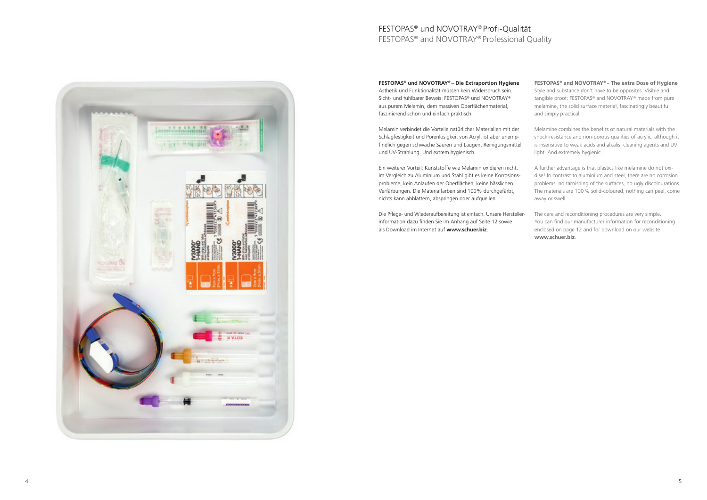## **FESTOPAS® und NOVOTRAY® – Die Extraportion Hygiene** Ästhetik und Funktionalität müssen kein Widerspruch sein. Sicht- und fühlbarer Beweis: FESTOPAS® und NOVOTRAY® aus purem Melamin, dem massiven Oberflächenmaterial, faszinierend schön und einfach praktisch.

Melamin verbindet die Vorteile natürlicher Materialien mit der Schlagfestigkeit und Porenlosigkeit von Acryl, ist aber unempfindlich gegen schwache Säuren und Laugen, Reinigungsmittel und UV-Strahlung. Und extrem hygienisch.

Ein weiterer Vorteil: Kunststoffe wie Melamin oxidieren nicht. Im Vergleich zu Aluminium und Stahl gibt es keine Korrosionsprobleme, kein Anlaufen der Oberflächen, keine hässlichen Verfärbungen. Die Materialfarben sind 100% durchgefärbt, nichts kann abblättern, abspringen oder aufquellen.

Die Pflege- und Wiederaufbereitung ist einfach. Unsere Herstellerinformation dazu finden Sie im Anhang auf Seite 12 sowie als Download im Internet auf **www.schuer.biz**.

**FESTOPAS® and NOVOTRAY® – The extra Dose of Hygiene** Style and substance don't have to be opposites. Visible and tangible proof: FESTOPAS® and NOVOTRAY® made from pure melamine, the solid surface material, fascinatingly beautiful and simply practical.

Melamine combines the benefits of natural materials with the shock-resistance and non-porous qualities of acrylic, although it is insensitive to weak acids and alkalis, cleaning agents and UV light. And extremely hygienic.

A further advantage is that plastics like melamine do not oxidise! In contrast to aluminium and steel, there are no corrosion problems, no tarnishing of the surfaces, no ugly discolourations. The materials are 100% solid-coloured, nothing can peel, come away or swell.

The care and reconditioning procedures are very simple. You can find our manufacturer information for reconditioning enclosed on page 12 and for download on our website **www.schuer.biz**.

## FESTOPAS® und NOVOTRAY® Profi-Qualität FESTOPAS® and NOVOTRAY® Professional Quality

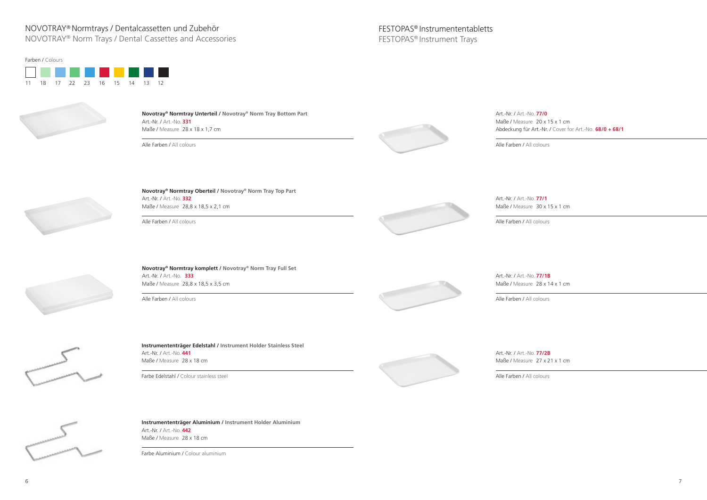



**Novotray® Normtray Oberteil / Novotray® Norm Tray Top Part** Art.-Nr. / Art.-No. **332** Maße / Measure 28,8 x 18,5 x 2,1 cm

Art.-Nr. / Art.-No. **77/0** Maße / Measure 20 x 15 x 1 cm

Alle Farben / All colours



## NOVOTRAY® Normtrays / Dentalcassetten und Zubehör

NOVOTRAY® Norm Trays / Dental Cassettes and Accessories

Art.-Nr. / Art.-No. **77/1B** Maße / Measure 28 x 14 x 1 cm

Art.-Nr. / Art.-No. **77/2B** Maße / Measure 27 x 21 x 1 cm

## FESTOPAS® Instrumententabletts FESTOPAS® Instrument Trays

Abdeckung für Art.-Nr. / Cover for Art.-No. **68/0 + 68/1**

Alle Farben / All colours



Alle Farben / All colours

**Novotray® Normtray Unterteil / Novotray® Norm Tray Bottom Part** Art.-Nr. / Art.-No. **331** Maße / Measure 28 x 18 x 1,7 cm

Alle Farben / All colours

Alle Farben / All colours



**Instrumententräger Edelstahl / Instrument Holder Stainless Steel** Art.-Nr. / Art.-No. **441** Maße / Measure 28 x 18 cm

Farbe Edelstahl / Colour stainless steel



**Instrumententräger Aluminium / Instrument Holder Aluminium** Art.-Nr. / Art.-No. **442** Maße / Measure 28 x 18 cm

Farbe Aluminium / Colour aluminium

**Novotray® Normtray komplett / Novotray® Norm Tray Full Set** Art.-Nr. / Art.-No. **333** Maße / Measure 28,8 x 18,5 x 3,5 cm

Alle Farben / All colours



Alle Farben / All colours

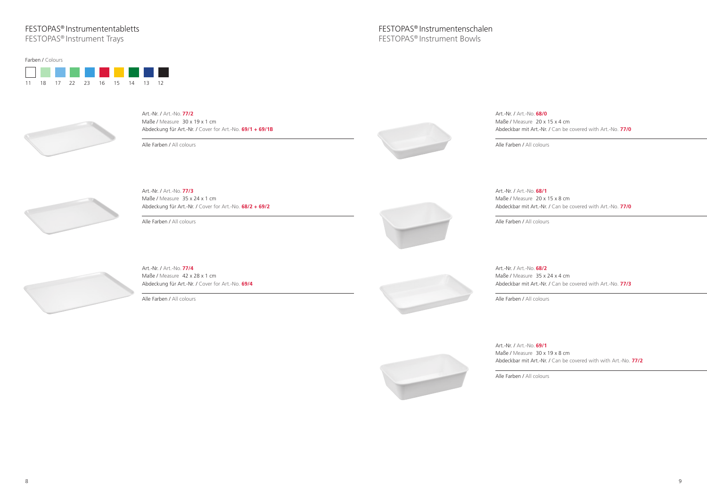## FESTOPAS® Instrumententabletts

Art.-Nr. / Art.-No. **69/1** Maße / Measure 30 x 19 x 8 cm

FESTOPAS® Instrument Trays

Art.-Nr. / Art.-No. **68/0** Maße / Measure 20 x 15 x 4 cm

Abdeckbar mit Art.-Nr. / Can be covered with with Art.-No. **77/2** 

Art.-Nr. / Art.-No. **68/1** Maße / Measure 20 x 15 x 8 cm

Alle Farben / All colours

Abdeckbar mit Art.-Nr. / Can be covered with Art.-No. **77/0**

Maße / Measure 35 x 24 x 4 cm Abdeckbar mit Art.-Nr. / Can be covered with Art.-No. **77/3**

Alle Farben / All colours

Abdeckbar mit Art.-Nr. / Can be covered with Art.-No. **77/0**

Alle Farben / All colours

Art.-Nr. / Art.-No. **68/2**

Alle Farben / All colours

Art.-Nr. / Art.-No. **77/3** Maße / Measure 35 x 24 x 1 cm Abdeckung für Art.-Nr. / Cover for Art.-No. **68/2 + 69/2**

Alle Farben / All colours



Art.-Nr. / Art.-No. **77/4** Maße / Measure 42 x 28 x 1 cm Abdeckung für Art.-Nr. / Cover for Art.-No. **69/4**

Alle Farben / All colours

Art.-Nr. / Art.-No. **77/2** Maße / Measure 30 x 19 x 1 cm Abdeckung für Art.-Nr. / Cover for Art.-No. **69/1 + 69/1B**

Alle Farben / All colours







# 11 18 17 22 23 16 15 14 13 12 Farben / Colours

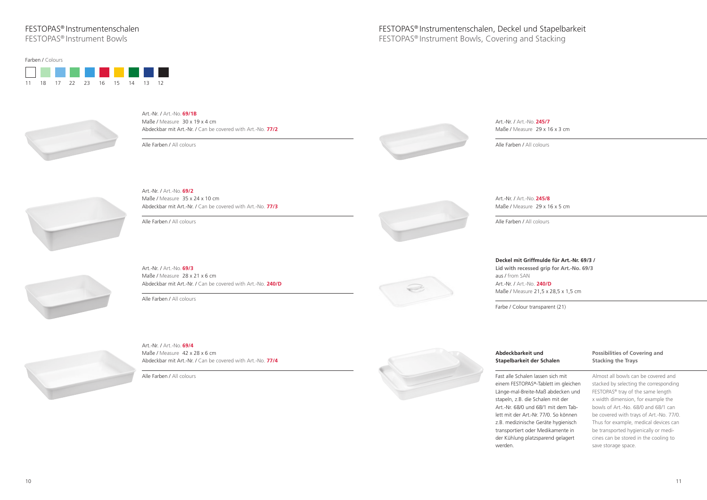Fast alle Schalen I einem FESTOPAS® Länge-mal-Breitestapeln, z.B. die S Art.-Nr. 68/0 und lett mit der Art.-N z.B. medizinische transportiert oder der Kühlung platz werden.

Art.-Nr. / Art.-No. **245/7** Maße / Measure 29 x 16 x 3 cm

| und<br>er Schalen                 | <b>Possibilities of Covering and</b><br><b>Stacking the Trays</b> |
|-----------------------------------|-------------------------------------------------------------------|
| lassen sich mit                   | Almost all bowls can be covered and                               |
| <sup>®</sup> -Tablett im gleichen | stacked by selecting the corresponding                            |
| -Maß abdecken und                 | FESTOPAS <sup>®</sup> tray of the same length                     |
| schalen mit der                   | x width dimension, for example the                                |
| 68/1 mit dem Tab-                 | bowls of Art.-No. 68/0 and 68/1 can                               |
| Jr. 77/0. So können               | be covered with trays of Art.-No. 77/0.                           |
| Geräte hygienisch                 | Thus for example, medical devices can                             |
| r Medikamente in                  | be transported hygienically or medi-                              |
| zsparend gelagert                 | cines can be stored in the cooling to                             |
|                                   | save storage space.                                               |
|                                   |                                                                   |

**Deckel mit Griffmulde für Art.-Nr. 69/3 / Lid with recessed grip for Art.-No. 69/3** aus / from SAN Art.-Nr. / Art.-No. **240/D**

Maße / Measure 21,5 x 28,5 x 1,5 cm

Farbe / Colour transparent (21)

## **Abdeckbarkeit u Stapelbarkeit de**

Alle Farben / All colours

## Art.-Nr. / Art.-No. **245/8**

Maße / Measure 29 x 16 x 5 cm





Art.-Nr. / Art.-No. **69/4** Maße / Measure 42 x 28 x 6 cm Abdeckbar mit Art.-Nr. / Can be covered with Art.-No. **77/4**

Alle Farben / All colours



Alle Farben / All colours

Art.-Nr. / Art.-No. **69/3**

Maße / Measure 28 x 21 x 6 cm







Art.-Nr. / Art.-No. **69/1B** Maße / Measure 30 x 19 x 4 cm Abdeckbar mit Art.-Nr. / Can be covered with Art.-No. **77/2**

Alle Farben / All colours





## FESTOPAS® Instrumentenschalen

FESTOPAS® Instrument Bowls

# 11 18 17 22 23 16 15 14 13 12 Farben / Colours

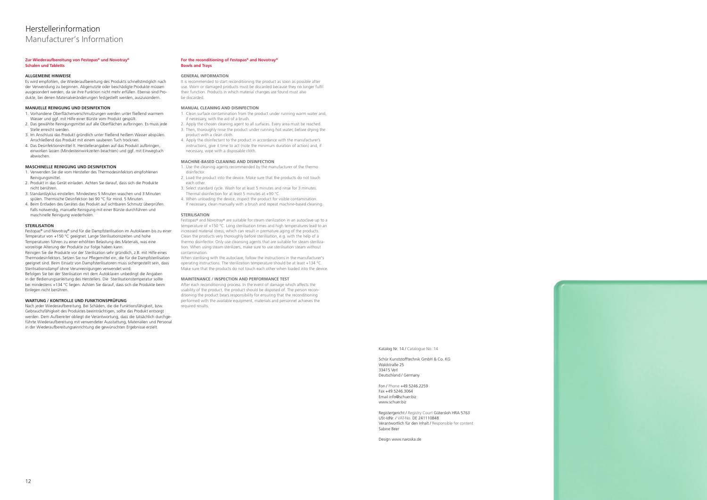### **Zur Wiederaufbereitung von Festopas® und Novotray® Schalen und Tabletts**

### **ALLGEMEINE HINWEISE**

Es wird empfohlen, die Wiederaufbereitung des Produkts schnellstmöglich nach der Verwendung zu beginnen. Abgenutzte oder beschädigte Produkte müssen ausgesondert werden, da sie ihre Funktion nicht mehr erfüllen. Ebenso sind Produkte, bei denen Materialveränderungen festgestellt werden, auszusondern.

## **MANUELLE REINIGUNG UND DESINFEKTION**

- 1. Vorhandene Oberflächenverschmutzungen werden unter fließend warmem Wasser und ggf. mit Hilfe einer Bürste vom Produkt gespült.
- 2. Das gewählte Reinigungsmittel auf alle Oberflächen aufbringen. Es muss jede Stelle erreicht werden.
- 3. Im Anschluss das Produkt gründlich unter fließend heißem Wasser abspülen. Anschließend das Produkt mit einem sauberen Tuch trocknen.
- 4. Das Desinfektionsmittel lt. Herstellerangaben auf das Produkt aufbringen, einwirken lassen (Mindesteinwirkzeiten beachten) und ggf. mit Einwegtuch abwischen.

### **MASCHINELLE REINIGUNG UND DESINFEKTION**

- 1. Verwenden Sie die vom Hersteller des Thermodesinfektors empfohlenen Reinigungsmittel.
- 2. Produkt in das Gerät einladen. Achten Sie darauf, dass sich die Produkte nicht berühren.
- 3. Standardzyklus einstellen. Mindestens 5 Minuten waschen und 3 Minuten spülen. Thermische Desinfektion bei 90 °C für mind. 5 Minuten.
- 4. Beim Entladen des Gerätes das Produkt auf sichtbaren Schmutz überprüfen. Falls notwendig, manuelle Reinigung mit einer Bürste durchführen und maschinelle Reinigung wiederholen.

### **STERILISATION**

It is recommended to start reconditioning the product as soon as possible after use. Worn or damaged products must be discarded because they no longer fulfil their function. Products in which material changes are found must also be discarded.

Festopas® und Novotray® sind für die Dampfsterilisation im Autoklaven bis zu einer Temperatur von +150 °C geeignet. Lange Sterilisationszeiten und hohe Temperaturen führen zu einer erhöhten Belastung des Materials, was eine vorzeitige Alterung der Produkte zur Folge haben kann.

Reinigen Sie die Produkte vor der Sterilisation sehr gründlich, z.B. mit Hilfe eines Thermodesinfektors. Setzen Sie nur Pflegemittel ein, die für die Dampfsterilisation geeignet sind. Beim Einsatz von Dampfsterilisatoren muss sichergestellt sein, dass Sterilisationsdampf ohne Verunreinigungen verwendet wird.

Befolgen Sie bei der Sterilisation mit dem Autoklaven unbedingt die Angaben in der Bedienungsanleitung des Herstellers. Die Sterilisationstemperatur sollte bei mindestens +134 °C liegen. Achten Sie darauf, dass sich die Produkte beim Einlegen nicht berühren.

### **WARTUNG / KONTROLLE UND FUNKTIONSPRÜFUNG**

After each reconditioning process. In the event of damage which affects the usability of the product, the product should be disposed of. The person reconditioning the product bears responsibility for ensuring that the reconditioning performed with the available equipment, materials and personnel achieves the required results.

Nach jeder Wiederaufbereitung. Bei Schäden, die die Funktionsfähigkeit, bzw. Gebrauchsfähigkeit des Produktes beeinträchtigen, sollte das Produkt entsorgt werden. Dem Aufbereiter obliegt die Verantwortung, dass die tatsächlich durchgeführte Wiederaufbereitung mit verwendeter Ausstattung, Materialien und Personal in der Wiederaufbereitungseinrichtung die gewünschten Ergebnisse erzielt.

### **For the reconditioning of Festopas® and Novotray® Bowls and Trays**

### **GENERAL INFORMATION**

### **MANUAL CLEANING AND DISINFECTION**

- 1. Clean surface contamination from the product under running warm water and, if necessary, with the aid of a brush.
- 2. Apply the chosen cleaning agent to all surfaces. Every area must be reached.
- 3. Then, thoroughly rinse the product under running hot water, before drying the product with a clean cloth.
- 4. Apply the disinfectant to the product in accordance with the manufacturer's instructions, give it time to act (note the minimum duration of action) and, if necessary, wipe with a disposable cloth.

### **MACHINE-BASED CLEANING AND DISINFECTION**

- 1. Use the cleaning agents recommended by the manufacturer of the thermo disinfector.
- 2. Load the product into the device. Make sure that the products do not touch each other
- 3. Select standard cycle. Wash for at least 5 minutes and rinse for 3 minutes. Thermal disinfection for at least 5 minutes at +90 °C.
- 4. When unloading the device, inspect the product for visible contamination. If necessary, clean manually with a brush and repeat machine-based cleaning.

### **STERILISATION**

Festopas® and Novotray® are suitable for steam sterilization in an autoclave up to a temperature of +150 °C. Long sterilisation times and high temperatures lead to an increased material stress, which can result in premature aging of the products. Clean the products very thoroughly before sterilisation, e.g. with the help of a thermo disinfector. Only use cleansing agents that are suitable for steam sterilization. When using steam sterilizers, make sure to use sterilisation steam without contamination.

When sterilising with the autoclave, follow the instructions in the manufacturer's operating instructions. The sterilization temperature should be at least +134 °C. Make sure that the products do not touch each other when loaded into the device.

### **MAINTENANCE / INSPECTION AND PERFORMANCE TEST**

Katalog Nr. 14 / Catalogue No. 14

Schür Kunststofftechnik GmbH & Co. KG Waldstraße 25 33415 Verl Deutschland / Germany

Fon / Phone +49.5246.2259 Fax +49.5246.3064 Email info@schuer.biz www.schuer.biz

Registergericht / Registry Court Gütersloh HRA 5763 USt-IdNr. / VAT-No. DE 241110848 Verantwortlich für den Inhalt / Responsible for content Sabine Beer

Design www.naroska.de